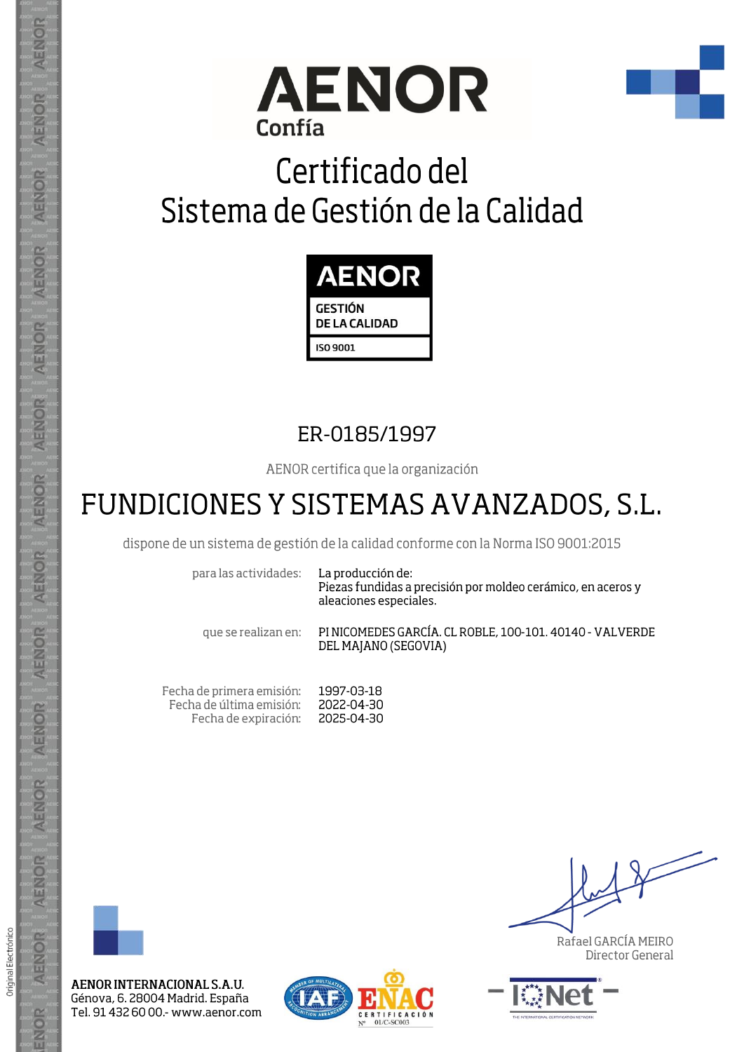



## Certificado del Sistema de Gestión de la Calidad



#### ER-0185/1997

AENOR certifica que la organización

### FUNDICIONES Y SISTEMAS AVANZADOS, S.L.

dispone de un sistema de gestión de la calidad conforme con la Norma ISO 9001:2015

para las actividades:

La producción de: Piezas fundidas a precisión por moldeo cerámico, en aceros y aleaciones especiales.

que se realizan en:

PINICOMEDES GARCÍA, CL ROBLE, 100-101, 40140 - VALVERDE DEL MAJANO (SEGOVIA)

Fecha de primera emisión: 1997-03-18 Fecha de última emisión: 2022-04-30 Fecha de expiración: 2025-04-30



AENOR

ENOR

ENOR

**AENOR** 

AENOR

AENOR

**AENOR** 

AENOR

AENOR

AENOR

AENOR

AENOR

AENOR

ENOR

Original Electrónico

AENOR INTERNACIONAL S.A.U. Génova, 6. 28004 Madrid. España Tel. 91 432 60 00 - www.aenor.com



Rafael GARCÍA MEIRO Director General